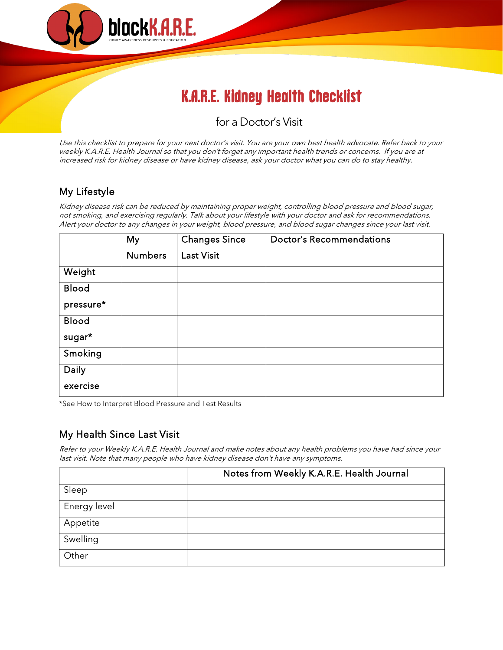

# K.A.R.E. Kidney Health Checklist

# for a Doctor's Visit

Use this checklist to prepare for your next doctor's visit. You are your own best health advocate. Refer back to your weekly K.A.R.E. Health Journal so that you don't forget any important health trends or concerns. If you are at increased risk for kidney disease or have kidney disease, ask your doctor what you can do to stay healthy.

### My Lifestyle

Kidney disease risk can be reduced by maintaining proper weight, controlling blood pressure and blood sugar, not smoking, and exercising regularly. Talk about your lifestyle with your doctor and ask for recommendations. Alert your doctor to any changes in your weight, blood pressure, and blood sugar changes since your last visit.

|              | My             | <b>Changes Since</b> | <b>Doctor's Recommendations</b> |
|--------------|----------------|----------------------|---------------------------------|
|              | <b>Numbers</b> | <b>Last Visit</b>    |                                 |
| Weight       |                |                      |                                 |
| <b>Blood</b> |                |                      |                                 |
| pressure*    |                |                      |                                 |
| <b>Blood</b> |                |                      |                                 |
| sugar*       |                |                      |                                 |
| Smoking      |                |                      |                                 |
| <b>Daily</b> |                |                      |                                 |
| exercise     |                |                      |                                 |

\*See How to Interpret Blood Pressure and Test Results

#### My Health Since Last Visit

Refer to your Weekly K.A.R.E. Health Journal and make notes about any health problems you have had since your last visit. Note that many people who have kidney disease don't have any symptoms.

|              | Notes from Weekly K.A.R.E. Health Journal |
|--------------|-------------------------------------------|
| Sleep        |                                           |
| Energy level |                                           |
| Appetite     |                                           |
| Swelling     |                                           |
| Other        |                                           |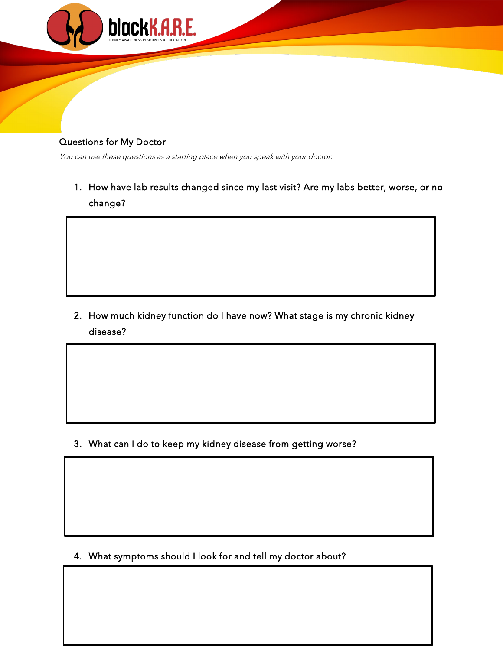

#### Questions for My Doctor

I

I

You can use these questions as a starting place when you speak with your doctor.

1. How have lab results changed since my last visit? Are my labs better, worse, or no change?

2. How much kidney function do I have now? What stage is my chronic kidney disease?

3. What can I do to keep my kidney disease from getting worse?

4. What symptoms should I look for and tell my doctor about?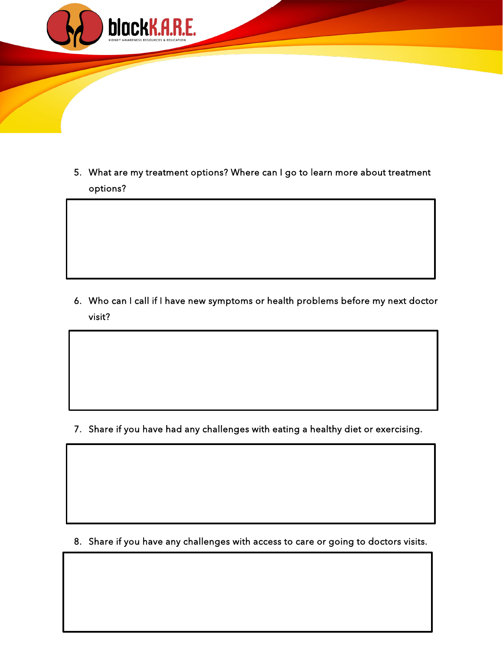

5. What are my treatment options? Where can I go to learn more about treatment options?

6. Who can I call if I have new symptoms or health problems before my next doctor visit?

7. Share if you have had any challenges with eating a healthy diet or exercising.

8. Share if you have any challenges with access to care or going to doctors visits.